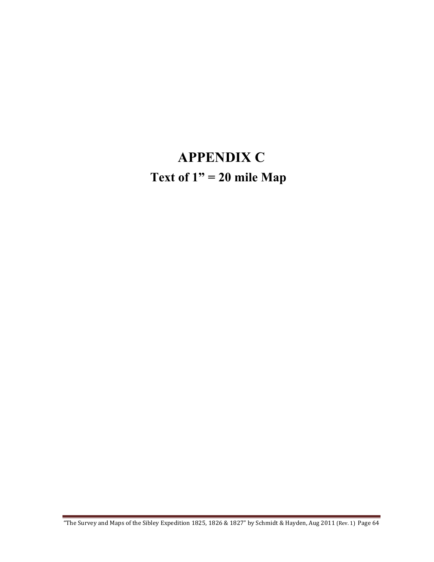## **APPENDIX C Text of 1" = 20 mile Map**

"The Survey and Maps of the Sibley Expedition 1825, 1826 & 1827" by Schmidt & Hayden, Aug 2011 (Rev. 1) Page 64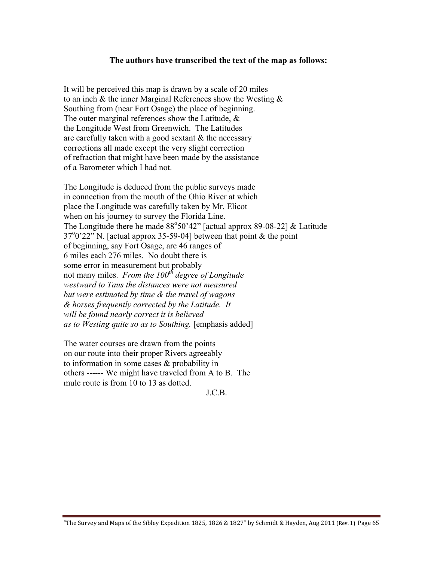## **The authors have transcribed the text of the map as follows:**

It will be perceived this map is drawn by a scale of 20 miles to an inch & the inner Marginal References show the Westing & Southing from (near Fort Osage) the place of beginning. The outer marginal references show the Latitude, & the Longitude West from Greenwich. The Latitudes are carefully taken with a good sextant & the necessary corrections all made except the very slight correction of refraction that might have been made by the assistance of a Barometer which I had not.

The Longitude is deduced from the public surveys made in connection from the mouth of the Ohio River at which place the Longitude was carefully taken by Mr. Elicot when on his journey to survey the Florida Line. The Longitude there he made  $88^{\circ}50'42''$  [actual approx 89-08-22] & Latitude  $37^{\circ}$ 0'22" N. [actual approx 35-59-04] between that point & the point of beginning, say Fort Osage, are 46 ranges of 6 miles each 276 miles. No doubt there is some error in measurement but probably not many miles. *From the 100th degree of Longitude westward to Taus the distances were not measured but were estimated by time & the travel of wagons & horses frequently corrected by the Latitude. It will be found nearly correct it is believed as to Westing quite so as to Southing.* [emphasis added]

The water courses are drawn from the points on our route into their proper Rivers agreeably to information in some cases & probability in others ------ We might have traveled from A to B. The mule route is from 10 to 13 as dotted.

J.C.B.